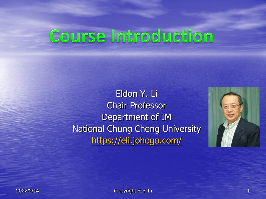# Course Introduction

Eldon Y. Li Chair Professor Department of IM National Chung Cheng University <https://eli.johogo.com/>



2022/2/14 Copyright E.Y. Li 1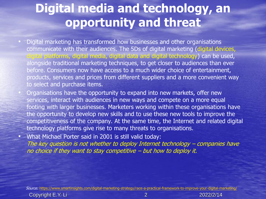## **Digital media and technology, an opportunity and threat**

- Digital marketing has transformed how businesses and other organisations communicate with their audiences. The 5Ds of digital marketing (digital devices, ital platforms, digital media, digital data and digital technology) can be used, alongside traditional marketing techniques, to get closer to audiences than ever before. Consumers now have access to a much wider choice of entertainment, products, services and prices from different suppliers and a more convenient way to select and purchase items.
- Organisations have the opportunity to expand into new markets, offer new services, interact with audiences in new ways and compete on a more equal footing with larger businesses. Marketers working within these organisations have the opportunity to develop new skills and to use these new tools to improve the competitiveness of the company. At the same time, the Internet and related digital technology platforms give rise to many threats to organisations.
- What Michael Porter said in 2001 is still valid today: The key question is not whether to deploy Internet technology – companies have no choice if they want to stay competitive – but how to deploy it.

Source: <https://www.smartinsights.com/digital-marketing-strategy/race-a-practical-framework-to-improve-your-digital-marketing/>

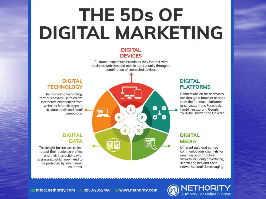# **THE 5Ds OF DIGITAL MARKETING**

#### **DIGITAL DEVICES**

Customer experience brands as they interact with business websites and mobile apps usually through a combination of connected devices.

### **DIGITAL TECHNOLOGY**

The marketing technology that businesses use to create interactive experiences from websites & mobile apps to in-store booth and email campaigns.

## **DIGITAL DATA**

The insight businesses collect about their audience profiles and their interactions with businesses, which now need to be protected by law in most countries.



### **DIGITAL PLATFORMS**

Connections on these devices are through a browser or apps from the foremost platforms or services, that's Facebook. tumblr, Instagram, Google, YouTube. Twitter and LinkedIn.

### **DIGITAL MEDIA**

Different paid and earned communications channels for reaching and attractive viewers including advertising. search engines and social networks, email & messaging.

**NETHORITY** 

**Authority For Online Success** 

info@nethority.com \times 0253-2352460 @www.nethority.com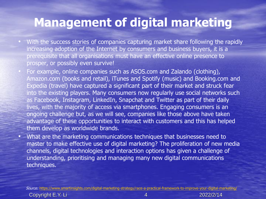## **Management of digital marketing**

- With the success stories of companies capturing market share following the rapidly increasing adoption of the Internet by consumers and business buyers, it is a prerequisite that all organisations must have an effective online presence to prosper, or possibly even survive!
- For example, online companies such as ASOS.com and Zalando (clothing), Amazon.com (books and retail), iTunes and Spotify (music) and Booking.com and Expedia (travel) have captured a significant part of their market and struck fear into the existing players. Many consumers now regularly use social networks such as Facebook, Instagram, LinkedIn, Snapchat and Twitter as part of their daily lives, with the majority of access via smartphones. Engaging consumers is an ongoing challenge but, as we will see, companies like those above have taken advantage of these opportunities to interact with customers and this has helped them develop as worldwide brands.
- What are the marketing communications techniques that businesses need to master to make effective use of digital marketing? The proliferation of new media channels, digital technologies and interaction options has given a challenge of understanding, prioritising and managing many new digital communications techniques.

Copyright E.Y. Li 4 2022/2/14 Source: <https://www.smartinsights.com/digital-marketing-strategy/race-a-practical-framework-to-improve-your-digital-marketing/>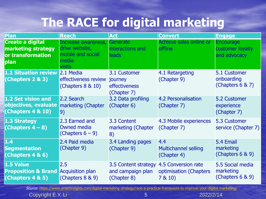# **The RACE for digital marketing**

| Plan                                                                       | <b>Reach</b>                                                                         | <b>Act</b>                                                                   | <b>Convert</b>                                    | <b>Engage</b>                                        |
|----------------------------------------------------------------------------|--------------------------------------------------------------------------------------|------------------------------------------------------------------------------|---------------------------------------------------|------------------------------------------------------|
| <b>Create a digital</b><br>marketing strategy<br>or transformation<br>plan | Increase awareness,<br>drive website,<br>mobile and social<br>media<br><b>visits</b> | Generate<br>interactions and<br>leads                                        | Achieve sales online or<br>offline                | <b>Encourage</b><br>customer loyalty<br>and advocacy |
| 1.1 Situation review 2.1 Media<br>(Chapters 2 & 3)                         | effectiveness review<br>(Chapters $8 \& 10$ )                                        | 3.1 Customer<br>journey<br>effectiveness<br>(Chapter 7)                      | 4.1 Retargeting<br>(Chapter 9)                    | 5.1 Customer<br>onboarding<br>(Chapters $6 & 7$ )    |
| 1.2 Set vision and<br>objectives, evaluate<br>(Chapters 4 & 10)            | 2.2 Search<br>marketing (Chapter<br>9)                                               | 3.2 Data profiling<br>(Chapter 6)                                            | 4.2 Personalisation<br>(Chapter 7)                | 5.2 Customer<br>experience<br>(Chapter 7)            |
| 1.3 Strategy<br>(Chapters $4-8$ )                                          | 2.3 Earned and<br>Owned media<br>(Chapters $6 - 9$ )                                 | 3.3 Content<br>marketing (Chapter<br>8)                                      | 4.3 Mobile experiences<br>(Chapter 7)             | 5.3 Customer<br>service (Chapter 7)                  |
| 1.4<br><b>Segmentation</b><br>(Chapters 4 & 6)                             | 2.4 Paid media<br>(Chapter 9)                                                        | 3.4 Landing pages<br>(Chapter 9)                                             | 4.4<br><b>Multichannel selling</b><br>(Chapter 4) | 5.4 Email<br>marketing<br>(Chapters $6 & 9$ )        |
| 1.5 Value<br><b>Proposition &amp; Brand</b><br>(Chapters 4 & 5)            | 2.5<br><b>Acquisition plan</b><br>(Chapters $8 \& 9$ )                               | 3.5 Content strategy 4.5 Conversion rate<br>and campaign plan<br>(Chapter 8) | optimisation (Chapters<br>7810                    | 5.5 Social media<br>marketing<br>(Chapters $6 & 9$ ) |

Source: <https://www.smartinsights.com/digital-marketing-strategy/race-a-practical-framework-to-improve-your-digital-marketing/>

**Copyright E.Y. Li** 5 2022/2/14